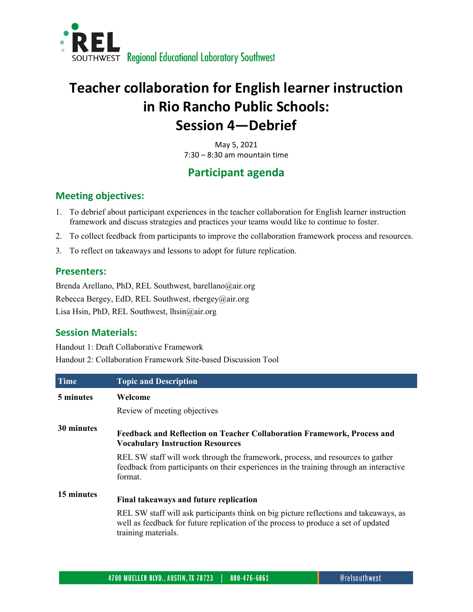

# **Teacher collaboration for English learner instruction in Rio Rancho Public Schools: Session 4—Debrief**

May 5, 2021 7:30 – 8:30 am mountain time

# **Participant agenda**

### **Meeting objectives:**

- 1. To debrief about participant experiences in the teacher collaboration for English learner instruction framework and discuss strategies and practices your teams would like to continue to foster.
- 2. To collect feedback from participants to improve the collaboration framework process and resources.
- 3. To reflect on takeaways and lessons to adopt for future replication.

#### **Presenters:**

Brenda Arellano, PhD, REL Southwest[, barellano@air.org](mailto:barellano@air.org) Rebecca Bergey, EdD, REL Southwest[, rbergey@air.org](mailto:rbergey@air.org) Lisa Hsin, PhD, REL Southwest, [lhsin@air.org](mailto:lhsin@air.org)

## **Session Materials:**

Handout 1: Draft Collaborative Framework Handout 2: Collaboration Framework Site-based Discussion Tool

| <b>Time</b> | <b>Topic and Description</b>                                                                                                                                                                       |
|-------------|----------------------------------------------------------------------------------------------------------------------------------------------------------------------------------------------------|
| 5 minutes   | Welcome                                                                                                                                                                                            |
|             | Review of meeting objectives                                                                                                                                                                       |
| 30 minutes  | <b>Feedback and Reflection on Teacher Collaboration Framework, Process and</b><br><b>Vocabulary Instruction Resources</b>                                                                          |
|             | REL SW staff will work through the framework, process, and resources to gather<br>feedback from participants on their experiences in the training through an interactive<br>format.                |
| 15 minutes  | Final takeaways and future replication                                                                                                                                                             |
|             | REL SW staff will ask participants think on big picture reflections and takeaways, as<br>well as feedback for future replication of the process to produce a set of updated<br>training materials. |